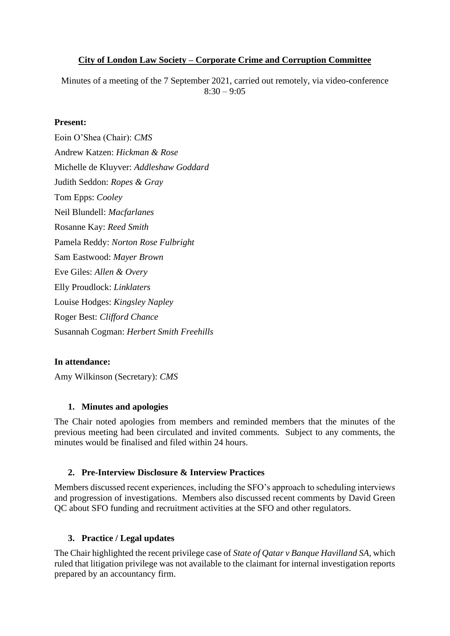# **City of London Law Society – Corporate Crime and Corruption Committee**

Minutes of a meeting of the 7 September 2021, carried out remotely, via video-conference  $8:30 - 9:05$ 

#### **Present:**

Eoin O'Shea (Chair): *CMS* Andrew Katzen: *Hickman & Rose* Michelle de Kluyver: *Addleshaw Goddard* Judith Seddon: *Ropes & Gray* Tom Epps: *Cooley* Neil Blundell: *Macfarlanes* Rosanne Kay: *Reed Smith* Pamela Reddy: *Norton Rose Fulbright* Sam Eastwood: *Mayer Brown* Eve Giles: *Allen & Overy* Elly Proudlock: *Linklaters* Louise Hodges: *Kingsley Napley* Roger Best: *Clifford Chance* Susannah Cogman: *Herbert Smith Freehills*

## **In attendance:**

Amy Wilkinson (Secretary): *CMS*

#### **1. Minutes and apologies**

The Chair noted apologies from members and reminded members that the minutes of the previous meeting had been circulated and invited comments. Subject to any comments, the minutes would be finalised and filed within 24 hours.

## **2. Pre-Interview Disclosure & Interview Practices**

Members discussed recent experiences, including the SFO's approach to scheduling interviews and progression of investigations. Members also discussed recent comments by David Green QC about SFO funding and recruitment activities at the SFO and other regulators.

## **3. Practice / Legal updates**

The Chair highlighted the recent privilege case of *State of Qatar v Banque Havilland SA*, which ruled that litigation privilege was not available to the claimant for internal investigation reports prepared by an accountancy firm.